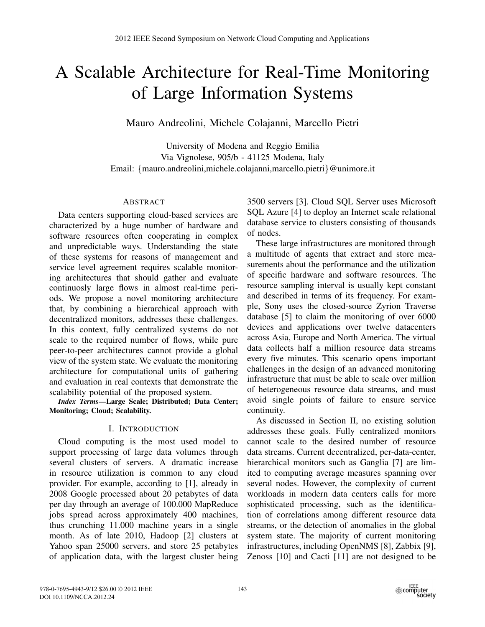# A Scalable Architecture for Real-Time Monitoring of Large Information Systems

Mauro Andreolini, Michele Colajanni, Marcello Pietri

University of Modena and Reggio Emilia Via Vignolese, 905/b - 41125 Modena, Italy Email: *{*mauro.andreolini,michele.colajanni,marcello.pietri*}*@unimore.it

# ABSTRACT

Data centers supporting cloud-based services are characterized by a huge number of hardware and software resources often cooperating in complex and unpredictable ways. Understanding the state of these systems for reasons of management and service level agreement requires scalable monitoring architectures that should gather and evaluate continuosly large flows in almost real-time periods. We propose a novel monitoring architecture that, by combining a hierarchical approach with decentralized monitors, addresses these challenges. In this context, fully centralized systems do not scale to the required number of flows, while pure peer-to-peer architectures cannot provide a global view of the system state. We evaluate the monitoring architecture for computational units of gathering and evaluation in real contexts that demonstrate the scalability potential of the proposed system.

*Index Terms*—Large Scale; Distributed; Data Center; Monitoring; Cloud; Scalability.

# I. INTRODUCTION

Cloud computing is the most used model to support processing of large data volumes through several clusters of servers. A dramatic increase in resource utilization is common to any cloud provider. For example, according to [1], already in 2008 Google processed about 20 petabytes of data per day through an average of 100.000 MapReduce jobs spread across approximately 400 machines, thus crunching 11.000 machine years in a single month. As of late 2010, Hadoop [2] clusters at Yahoo span 25000 servers, and store 25 petabytes of application data, with the largest cluster being 3500 servers [3]. Cloud SQL Server uses Microsoft SQL Azure [4] to deploy an Internet scale relational database service to clusters consisting of thousands of nodes.

These large infrastructures are monitored through a multitude of agents that extract and store measurements about the performance and the utilization of specific hardware and software resources. The resource sampling interval is usually kept constant and described in terms of its frequency. For example, Sony uses the closed-source Zyrion Traverse database [5] to claim the monitoring of over 6000 devices and applications over twelve datacenters across Asia, Europe and North America. The virtual data collects half a million resource data streams every five minutes. This scenario opens important challenges in the design of an advanced monitoring infrastructure that must be able to scale over million of heterogeneous resource data streams, and must avoid single points of failure to ensure service continuity.

As discussed in Section II, no existing solution addresses these goals. Fully centralized monitors cannot scale to the desired number of resource data streams. Current decentralized, per-data-center, hierarchical monitors such as Ganglia [7] are limited to computing average measures spanning over several nodes. However, the complexity of current workloads in modern data centers calls for more sophisticated processing, such as the identification of correlations among different resource data streams, or the detection of anomalies in the global system state. The majority of current monitoring infrastructures, including OpenNMS [8], Zabbix [9], Zenoss [10] and Cacti [11] are not designed to be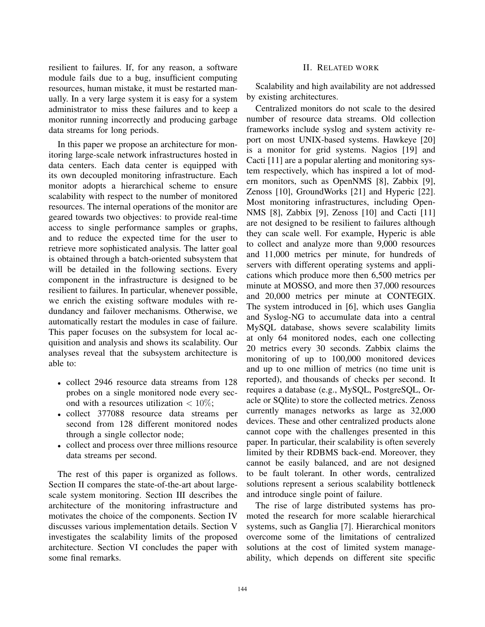resilient to failures. If, for any reason, a software module fails due to a bug, insufficient computing resources, human mistake, it must be restarted manually. In a very large system it is easy for a system administrator to miss these failures and to keep a monitor running incorrectly and producing garbage data streams for long periods.

In this paper we propose an architecture for monitoring large-scale network infrastructures hosted in data centers. Each data center is equipped with its own decoupled monitoring infrastructure. Each monitor adopts a hierarchical scheme to ensure scalability with respect to the number of monitored resources. The internal operations of the monitor are geared towards two objectives: to provide real-time access to single performance samples or graphs, and to reduce the expected time for the user to retrieve more sophisticated analysis. The latter goal is obtained through a batch-oriented subsystem that will be detailed in the following sections. Every component in the infrastructure is designed to be resilient to failures. In particular, whenever possible, we enrich the existing software modules with redundancy and failover mechanisms. Otherwise, we automatically restart the modules in case of failure. This paper focuses on the subsystem for local acquisition and analysis and shows its scalability. Our analyses reveal that the subsystem architecture is able to:

- collect 2946 resource data streams from 128 probes on a single monitored node every second with a resources utilization *<* 10%;
- *•* collect 377088 resource data streams per second from 128 different monitored nodes through a single collector node;
- collect and process over three millions resource data streams per second.

The rest of this paper is organized as follows. Section II compares the state-of-the-art about largescale system monitoring. Section III describes the architecture of the monitoring infrastructure and motivates the choice of the components. Section IV discusses various implementation details. Section V investigates the scalability limits of the proposed architecture. Section VI concludes the paper with some final remarks.

## II. RELATED WORK

Scalability and high availability are not addressed by existing architectures.

Centralized monitors do not scale to the desired number of resource data streams. Old collection frameworks include syslog and system activity report on most UNIX-based systems. Hawkeye [20] is a monitor for grid systems. Nagios [19] and Cacti [11] are a popular alerting and monitoring system respectively, which has inspired a lot of modern monitors, such as OpenNMS [8], Zabbix [9], Zenoss [10], GroundWorks [21] and Hyperic [22]. Most monitoring infrastructures, including Open-NMS [8], Zabbix [9], Zenoss [10] and Cacti [11] are not designed to be resilient to failures although they can scale well. For example, Hyperic is able to collect and analyze more than 9,000 resources and 11,000 metrics per minute, for hundreds of servers with different operating systems and applications which produce more then 6,500 metrics per minute at MOSSO, and more then 37,000 resources and 20,000 metrics per minute at CONTEGIX. The system introduced in [6], which uses Ganglia and Syslog-NG to accumulate data into a central MySQL database, shows severe scalability limits at only 64 monitored nodes, each one collecting 20 metrics every 30 seconds. Zabbix claims the monitoring of up to 100,000 monitored devices and up to one million of metrics (no time unit is reported), and thousands of checks per second. It requires a database (e.g., MySQL, PostgreSQL, Oracle or SQlite) to store the collected metrics. Zenoss currently manages networks as large as 32,000 devices. These and other centralized products alone cannot cope with the challenges presented in this paper. In particular, their scalability is often severely limited by their RDBMS back-end. Moreover, they cannot be easily balanced, and are not designed to be fault tolerant. In other words, centralized solutions represent a serious scalability bottleneck and introduce single point of failure.

The rise of large distributed systems has promoted the research for more scalable hierarchical systems, such as Ganglia [7]. Hierarchical monitors overcome some of the limitations of centralized solutions at the cost of limited system manageability, which depends on different site specific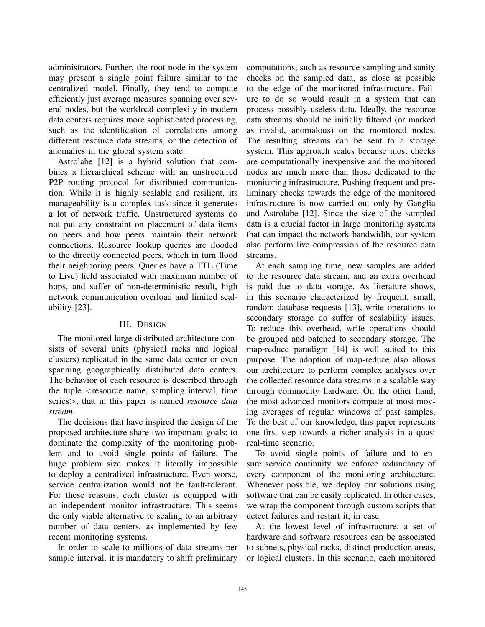administrators. Further, the root node in the system may present a single point failure similar to the centralized model. Finally, they tend to compute efficiently just average measures spanning over several nodes, but the workload complexity in modern data centers requires more sophisticated processing, such as the identification of correlations among different resource data streams, or the detection of anomalies in the global system state.

Astrolabe [12] is a hybrid solution that combines a hierarchical scheme with an unstructured P2P routing protocol for distributed communication. While it is highly scalable and resilient, its manageability is a complex task since it generates a lot of network traffic. Unstructured systems do not put any constraint on placement of data items on peers and how peers maintain their network connections. Resource lookup queries are flooded to the directly connected peers, which in turn flood their neighboring peers. Queries have a TTL (Time to Live) field associated with maximum number of hops, and suffer of non-deterministic result, high network communication overload and limited scalability [23].

## III. DESIGN

The monitored large distributed architecture consists of several units (physical racks and logical clusters) replicated in the same data center or even spanning geographically distributed data centers. The behavior of each resource is described through the tuple *<*resource name, sampling interval, time series*>*, that in this paper is named *resource data stream*.

The decisions that have inspired the design of the proposed architecture share two important goals: to dominate the complexity of the monitoring problem and to avoid single points of failure. The huge problem size makes it literally impossible to deploy a centralized infrastructure. Even worse, service centralization would not be fault-tolerant. For these reasons, each cluster is equipped with an independent monitor infrastructure. This seems the only viable alternative to scaling to an arbitrary number of data centers, as implemented by few recent monitoring systems.

In order to scale to millions of data streams per sample interval, it is mandatory to shift preliminary

computations, such as resource sampling and sanity checks on the sampled data, as close as possible to the edge of the monitored infrastructure. Failure to do so would result in a system that can process possibly useless data. Ideally, the resource data streams should be initially filtered (or marked as invalid, anomalous) on the monitored nodes. The resulting streams can be sent to a storage system. This approach scales because most checks are computationally inexpensive and the monitored nodes are much more than those dedicated to the monitoring infrastructure. Pushing frequent and preliminary checks towards the edge of the monitored infrastructure is now carried out only by Ganglia and Astrolabe [12]. Since the size of the sampled data is a crucial factor in large monitoring systems that can impact the network bandwidth, our system also perform live compression of the resource data streams.

At each sampling time, new samples are added to the resource data stream, and an extra overhead is paid due to data storage. As literature shows, in this scenario characterized by frequent, small, random database requests [13], write operations to secondary storage do suffer of scalability issues. To reduce this overhead, write operations should be grouped and batched to secondary storage. The map-reduce paradigm [14] is well suited to this purpose. The adoption of map-reduce also allows our architecture to perform complex analyses over the collected resource data streams in a scalable way through commodity hardware. On the other hand, the most advanced monitors compute at most moving averages of regular windows of past samples. To the best of our knowledge, this paper represents one first step towards a richer analysis in a quasi real-time scenario.

To avoid single points of failure and to ensure service continuity, we enforce redundancy of every component of the monitoring architecture. Whenever possible, we deploy our solutions using software that can be easily replicated. In other cases, we wrap the component through custom scripts that detect failures and restart it, in case.

At the lowest level of infrastructure, a set of hardware and software resources can be associated to subnets, physical racks, distinct production areas, or logical clusters. In this scenario, each monitored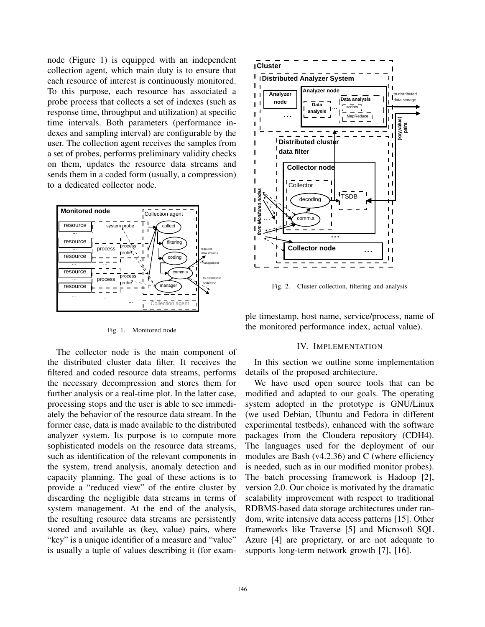node (Figure 1) is equipped with an independent collection agent, which main duty is to ensure that each resource of interest is continuously monitored. To this purpose, each resource has associated a probe process that collects a set of indexes (such as response time, throughput and utilization) at specific time intervals. Both parameters (performance indexes and sampling interval) are configurable by the user. The collection agent receives the samples from a set of probes, performs preliminary validity checks on them, updates the resource data streams and sends them in a coded form (usually, a compression) to a dedicated collector node.



Fig. 1. Monitored node

The collector node is the main component of the distributed cluster data filter. It receives the filtered and coded resource data streams, performs the necessary decompression and stores them for further analysis or a real-time plot. In the latter case, processing stops and the user is able to see immediately the behavior of the resource data stream. In the former case, data is made available to the distributed analyzer system. Its purpose is to compute more sophisticated models on the resource data streams, such as identification of the relevant components in the system, trend analysis, anomaly detection and capacity planning. The goal of these actions is to provide a "reduced view" of the entire cluster by discarding the negligible data streams in terms of system management. At the end of the analysis, the resulting resource data streams are persistently stored and available as (key, value) pairs, where "key" is a unique identifier of a measure and "value" is usually a tuple of values describing it (for exam-



Fig. 2. Cluster collection, filtering and analysis

ple timestamp, host name, service/process, name of the monitored performance index, actual value).

## IV. IMPLEMENTATION

In this section we outline some implementation details of the proposed architecture.

We have used open source tools that can be modified and adapted to our goals. The operating system adopted in the prototype is GNU/Linux (we used Debian, Ubuntu and Fedora in different experimental testbeds), enhanced with the software packages from the Cloudera repository (CDH4). The languages used for the deployment of our modules are Bash (v4.2.36) and C (where efficiency is needed, such as in our modified monitor probes). The batch processing framework is Hadoop [2], version 2.0. Our choice is motivated by the dramatic scalability improvement with respect to traditional RDBMS-based data storage architectures under random, write intensive data access patterns [15]. Other frameworks like Traverse [5] and Microsoft SQL Azure [4] are proprietary, or are not adequate to supports long-term network growth [7], [16].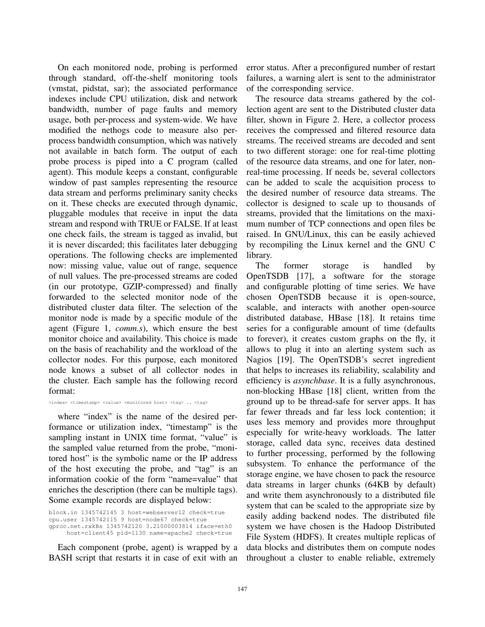On each monitored node, probing is performed through standard, off-the-shelf monitoring tools (vmstat, pidstat, sar); the associated performance indexes include CPU utilization, disk and network bandwidth, number of page faults and memory usage, both per-process and system-wide. We have modified the nethogs code to measure also perprocess bandwidth consumption, which was natively not available in batch form. The output of each probe process is piped into a C program (called agent). This module keeps a constant, configurable window of past samples representing the resource data stream and performs preliminary sanity checks on it. These checks are executed through dynamic, pluggable modules that receive in input the data stream and respond with TRUE or FALSE. If at least one check fails, the stream is tagged as invalid, but it is never discarded; this facilitates later debugging operations. The following checks are implemented now: missing value, value out of range, sequence of null values. The pre-processed streams are coded (in our prototype, GZIP-compressed) and finally forwarded to the selected monitor node of the distributed cluster data filter. The selection of the monitor node is made by a specific module of the agent (Figure 1, *comm.s*), which ensure the best monitor choice and availability. This choice is made on the basis of reachability and the workload of the collector nodes. For this purpose, each monitored node knows a subset of all collector nodes in the cluster. Each sample has the following record format:

<index> <timestamp> <value> <monitored host> <tag> .. <tag>

where "index" is the name of the desired performance or utilization index, "timestamp" is the sampling instant in UNIX time format, "value" is the sampled value returned from the probe, "monitored host" is the symbolic name or the IP address of the host executing the probe, and "tag" is an information cookie of the form "name=value" that enriches the description (there can be multiple tags). Some example records are displayed below:

block.in 1345742145 3 host=webserver12 check=true cpu.user 1345742115 9 host=node67 check=true gproc.net.rxkBs 1345742120 3.21000003814 iface=eth0 host=client45 pid=1130 name=apache2 check=true

Each component (probe, agent) is wrapped by a BASH script that restarts it in case of exit with an error status. After a preconfigured number of restart failures, a warning alert is sent to the administrator of the corresponding service.

The resource data streams gathered by the collection agent are sent to the Distributed cluster data filter, shown in Figure 2. Here, a collector process receives the compressed and filtered resource data streams. The received streams are decoded and sent to two different storage: one for real-time plotting of the resource data streams, and one for later, nonreal-time processing. If needs be, several collectors can be added to scale the acquisition process to the desired number of resource data streams. The collector is designed to scale up to thousands of streams, provided that the limitations on the maximum number of TCP connections and open files be raised. In GNU/Linux, this can be easily achieved by recompiling the Linux kernel and the GNU C library.

The former storage is handled by OpenTSDB [17], a software for the storage and configurable plotting of time series. We have chosen OpenTSDB because it is open-source, scalable, and interacts with another open-source distributed database, HBase [18]. It retains time series for a configurable amount of time (defaults to forever), it creates custom graphs on the fly, it allows to plug it into an alerting system such as Nagios [19]. The OpenTSDB's secret ingredient that helps to increases its reliability, scalability and efficiency is *asynchbase*. It is a fully asynchronous, non-blocking HBase [18] client, written from the ground up to be thread-safe for server apps. It has far fewer threads and far less lock contention; it uses less memory and provides more throughput especially for write-heavy workloads. The latter storage, called data sync, receives data destined to further processing, performed by the following subsystem. To enhance the performance of the storage engine, we have chosen to pack the resource data streams in larger chunks (64KB by default) and write them asynchronously to a distributed file system that can be scaled to the appropriate size by easily adding backend nodes. The distributed file system we have chosen is the Hadoop Distributed File System (HDFS). It creates multiple replicas of data blocks and distributes them on compute nodes throughout a cluster to enable reliable, extremely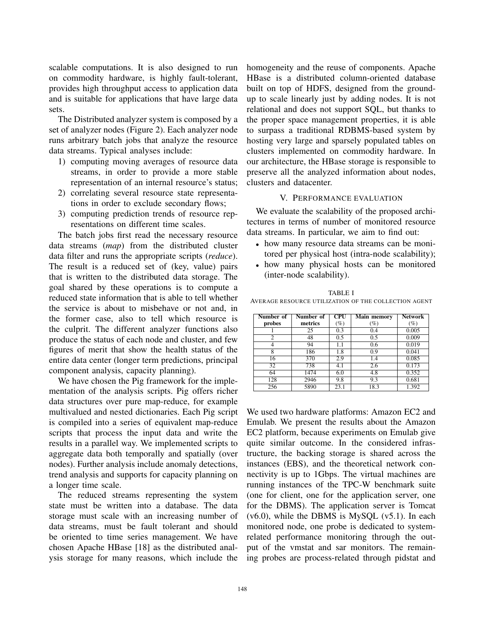scalable computations. It is also designed to run on commodity hardware, is highly fault-tolerant, provides high throughput access to application data and is suitable for applications that have large data sets.

The Distributed analyzer system is composed by a set of analyzer nodes (Figure 2). Each analyzer node runs arbitrary batch jobs that analyze the resource data streams. Typical analyses include:

- 1) computing moving averages of resource data streams, in order to provide a more stable representation of an internal resource's status;
- 2) correlating several resource state representations in order to exclude secondary flows;
- 3) computing prediction trends of resource representations on different time scales.

The batch jobs first read the necessary resource data streams (*map*) from the distributed cluster data filter and runs the appropriate scripts (*reduce*). The result is a reduced set of (key, value) pairs that is written to the distributed data storage. The goal shared by these operations is to compute a reduced state information that is able to tell whether the service is about to misbehave or not and, in the former case, also to tell which resource is the culprit. The different analyzer functions also produce the status of each node and cluster, and few figures of merit that show the health status of the entire data center (longer term predictions, principal component analysis, capacity planning).

We have chosen the Pig framework for the implementation of the analysis scripts. Pig offers richer data structures over pure map-reduce, for example multivalued and nested dictionaries. Each Pig script is compiled into a series of equivalent map-reduce scripts that process the input data and write the results in a parallel way. We implemented scripts to aggregate data both temporally and spatially (over nodes). Further analysis include anomaly detections, trend analysis and supports for capacity planning on a longer time scale.

The reduced streams representing the system state must be written into a database. The data storage must scale with an increasing number of data streams, must be fault tolerant and should be oriented to time series management. We have chosen Apache HBase [18] as the distributed analysis storage for many reasons, which include the

homogeneity and the reuse of components. Apache HBase is a distributed column-oriented database built on top of HDFS, designed from the groundup to scale linearly just by adding nodes. It is not relational and does not support SQL, but thanks to the proper space management properties, it is able to surpass a traditional RDBMS-based system by hosting very large and sparsely populated tables on clusters implemented on commodity hardware. In our architecture, the HBase storage is responsible to preserve all the analyzed information about nodes, clusters and datacenter.

## V. PERFORMANCE EVALUATION

We evaluate the scalability of the proposed architectures in terms of number of monitored resource data streams. In particular, we aim to find out:

- *•* how many resource data streams can be monitored per physical host (intra-node scalability);
- how many physical hosts can be monitored (inter-node scalability).

TABLE I AVERAGE RESOURCE UTILIZATION OF THE COLLECTION AGENT

| Number of | <b>CPU</b><br>Number of |        | Main memory | Network |  |  |
|-----------|-------------------------|--------|-------------|---------|--|--|
| probes    | metrics                 | $(\%)$ | $(\%)$      | (%)     |  |  |
|           | 25                      | 0.3    | 0.4         | 0.005   |  |  |
| 2         | 48                      | 0.5    | 0.5         | 0.009   |  |  |
| 4         | 94                      | 1.1    | 0.6         | 0.019   |  |  |
| 8         | 186                     | 1.8    | 0.9         | 0.041   |  |  |
| 16        | 370                     | 2.9    | 1.4         | 0.085   |  |  |
| 32        | 738                     | 4.1    | 2.6         | 0.173   |  |  |
| 64        | 1474                    | 6.0    | 4.8         | 0.352   |  |  |
| 128       | 2946                    | 9.8    | 9.3         | 0.681   |  |  |
| 256       | 5890                    | 23.1   | 18.3        | 1.392   |  |  |

We used two hardware platforms: Amazon EC2 and Emulab. We present the results about the Amazon EC2 platform, because experiments on Emulab give quite similar outcome. In the considered infrastructure, the backing storage is shared across the instances (EBS), and the theoretical network connectivity is up to 1Gbps. The virtual machines are running instances of the TPC-W benchmark suite (one for client, one for the application server, one for the DBMS). The application server is Tomcat  $(v6.0)$ , while the DBMS is MySQL  $(v5.1)$ . In each monitored node, one probe is dedicated to systemrelated performance monitoring through the output of the vmstat and sar monitors. The remaining probes are process-related through pidstat and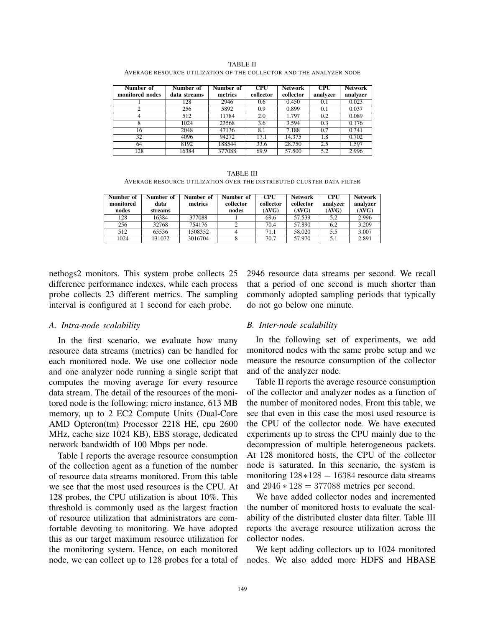|                                                                     | TABLE II |  |  |
|---------------------------------------------------------------------|----------|--|--|
| AVERAGE RESOURCE UTILIZATION OF THE COLLECTOR AND THE ANALYZER NODE |          |  |  |

| Number of<br>monitored nodes | Number of<br>data streams | Number of<br>metrics | <b>CPU</b><br>collector | <b>Network</b><br>collector | <b>CPU</b><br>analyzer | <b>Network</b><br>analyzer |
|------------------------------|---------------------------|----------------------|-------------------------|-----------------------------|------------------------|----------------------------|
|                              | 128                       | 2946                 | 0.6                     | 0.450                       | 0.1                    | 0.023                      |
|                              | 256                       | 5892                 | 0.9                     | 0.899                       | 0.1                    | 0.037                      |
| 4                            | 512                       | 11784                | 2.0                     | 1.797                       | 0.2                    | 0.089                      |
|                              | 1024                      | 23568                | 3.6                     | 3.594                       | 0.3                    | 0.176                      |
| 16                           | 2048                      | 47136                | 8.1                     | 7.188                       | 0.7                    | 0.341                      |
| 32                           | 4096                      | 94272                | 17.1                    | 14.375                      | 1.8                    | 0.702                      |
| 64                           | 8192                      | 188544               | 33.6                    | 28.750                      | 2.5                    | 1.597                      |
| 128                          | 16384                     | 377088               | 69.9                    | 57.500                      | 5.2                    | 2.996                      |

TABLE III AVERAGE RESOURCE UTILIZATION OVER THE DISTRIBUTED CLUSTER DATA FILTER

| Number of<br>monitored<br>nodes | Number of<br>data<br>streams | Number of<br>metrics | Number of<br>collector<br>nodes | <b>CPU</b><br>collector<br>(AVG) | <b>Network</b><br>collector<br>(AVG) | CPU<br>analyzer<br>(AVG) | <b>Network</b><br>analyzer<br>(AVG) |
|---------------------------------|------------------------------|----------------------|---------------------------------|----------------------------------|--------------------------------------|--------------------------|-------------------------------------|
| 128                             | 16384                        | 377088               |                                 | 69.6                             | 57.539                               | 5.2                      | 2.996                               |
| 256                             | 32768                        | 754176               |                                 | 70.4                             | 57.890                               | 6.2                      | 3.209                               |
| 512                             | 65536                        | 1508352              |                                 | 71.1                             | 58.020                               | 5.5                      | 3.007                               |
| 1024                            | 131072                       | 3016704              |                                 | 70.7                             | 57.970                               | 5.1                      | 2.891                               |

nethogs2 monitors. This system probe collects 25 difference performance indexes, while each process probe collects 23 different metrics. The sampling interval is configured at 1 second for each probe.

### *A. Intra-node scalability*

In the first scenario, we evaluate how many resource data streams (metrics) can be handled for each monitored node. We use one collector node and one analyzer node running a single script that computes the moving average for every resource data stream. The detail of the resources of the monitored node is the following: micro instance, 613 MB memory, up to 2 EC2 Compute Units (Dual-Core AMD Opteron(tm) Processor 2218 HE, cpu 2600 MHz, cache size 1024 KB), EBS storage, dedicated network bandwidth of 100 Mbps per node.

Table I reports the average resource consumption of the collection agent as a function of the number of resource data streams monitored. From this table we see that the most used resources is the CPU. At 128 probes, the CPU utilization is about 10%. This threshold is commonly used as the largest fraction of resource utilization that administrators are comfortable devoting to monitoring. We have adopted this as our target maximum resource utilization for the monitoring system. Hence, on each monitored node, we can collect up to 128 probes for a total of

2946 resource data streams per second. We recall that a period of one second is much shorter than commonly adopted sampling periods that typically do not go below one minute.

#### *B. Inter-node scalability*

In the following set of experiments, we add monitored nodes with the same probe setup and we measure the resource consumption of the collector and of the analyzer node.

Table II reports the average resource consumption of the collector and analyzer nodes as a function of the number of monitored nodes. From this table, we see that even in this case the most used resource is the CPU of the collector node. We have executed experiments up to stress the CPU mainly due to the decompression of multiple heterogeneous packets. At 128 monitored hosts, the CPU of the collector node is saturated. In this scenario, the system is monitoring  $128 \times 128 = 16384$  resource data streams and 2946 *∗* 128 = 377088 metrics per second.

We have added collector nodes and incremented the number of monitored hosts to evaluate the scalability of the distributed cluster data filter. Table III reports the average resource utilization across the collector nodes.

We kept adding collectors up to 1024 monitored nodes. We also added more HDFS and HBASE